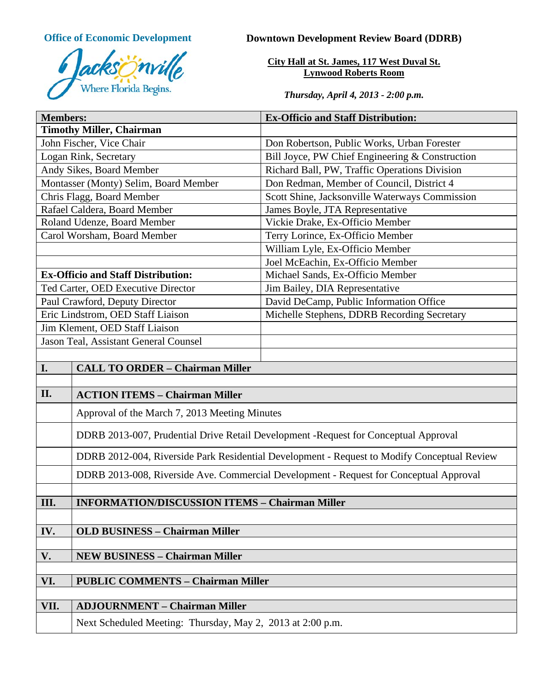

# **Office of Economic Development Downtown Development Review Board (DDRB)**

**City Hall at St. James, 117 West Duval St. Lynwood Roberts Room**

*Thursday, April 4, 2013 - 2:00 p.m.*

| <b>Members:</b>                           |                                                                                             | <b>Ex-Officio and Staff Distribution:</b>       |  |
|-------------------------------------------|---------------------------------------------------------------------------------------------|-------------------------------------------------|--|
| <b>Timothy Miller, Chairman</b>           |                                                                                             |                                                 |  |
| John Fischer, Vice Chair                  |                                                                                             | Don Robertson, Public Works, Urban Forester     |  |
| Logan Rink, Secretary                     |                                                                                             | Bill Joyce, PW Chief Engineering & Construction |  |
| Andy Sikes, Board Member                  |                                                                                             | Richard Ball, PW, Traffic Operations Division   |  |
| Montasser (Monty) Selim, Board Member     |                                                                                             | Don Redman, Member of Council, District 4       |  |
| Chris Flagg, Board Member                 |                                                                                             | Scott Shine, Jacksonville Waterways Commission  |  |
| Rafael Caldera, Board Member              |                                                                                             | James Boyle, JTA Representative                 |  |
| Roland Udenze, Board Member               |                                                                                             | Vickie Drake, Ex-Officio Member                 |  |
| Carol Worsham, Board Member               |                                                                                             | Terry Lorince, Ex-Officio Member                |  |
|                                           |                                                                                             | William Lyle, Ex-Officio Member                 |  |
|                                           |                                                                                             | Joel McEachin, Ex-Officio Member                |  |
| <b>Ex-Officio and Staff Distribution:</b> |                                                                                             | Michael Sands, Ex-Officio Member                |  |
| Ted Carter, OED Executive Director        |                                                                                             | Jim Bailey, DIA Representative                  |  |
| Paul Crawford, Deputy Director            |                                                                                             | David DeCamp, Public Information Office         |  |
| Eric Lindstrom, OED Staff Liaison         |                                                                                             | Michelle Stephens, DDRB Recording Secretary     |  |
| Jim Klement, OED Staff Liaison            |                                                                                             |                                                 |  |
| Jason Teal, Assistant General Counsel     |                                                                                             |                                                 |  |
|                                           |                                                                                             |                                                 |  |
| I.                                        | <b>CALL TO ORDER - Chairman Miller</b>                                                      |                                                 |  |
|                                           |                                                                                             |                                                 |  |
| II.                                       | <b>ACTION ITEMS - Chairman Miller</b>                                                       |                                                 |  |
|                                           | Approval of the March 7, 2013 Meeting Minutes                                               |                                                 |  |
|                                           | DDRB 2013-007, Prudential Drive Retail Development -Request for Conceptual Approval         |                                                 |  |
|                                           | DDRB 2012-004, Riverside Park Residential Development - Request to Modify Conceptual Review |                                                 |  |
|                                           | DDRB 2013-008, Riverside Ave. Commercial Development - Request for Conceptual Approval      |                                                 |  |
|                                           |                                                                                             |                                                 |  |
| III.                                      | <b>INFORMATION/DISCUSSION ITEMS - Chairman Miller</b>                                       |                                                 |  |
|                                           |                                                                                             |                                                 |  |
| IV.                                       | <b>OLD BUSINESS - Chairman Miller</b>                                                       |                                                 |  |
|                                           |                                                                                             |                                                 |  |
| V.                                        | <b>NEW BUSINESS - Chairman Miller</b>                                                       |                                                 |  |
|                                           |                                                                                             |                                                 |  |
| VI.                                       | <b>PUBLIC COMMENTS - Chairman Miller</b>                                                    |                                                 |  |
| VII.                                      | <b>ADJOURNMENT - Chairman Miller</b>                                                        |                                                 |  |
|                                           |                                                                                             |                                                 |  |
|                                           | Next Scheduled Meeting: Thursday, May 2, 2013 at 2:00 p.m.                                  |                                                 |  |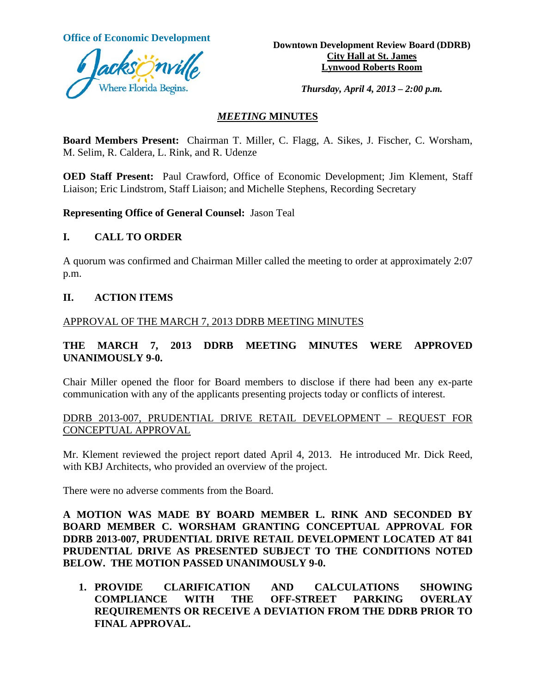

**Office of Economic Development**<br> **Downtown Development Review Board (DDRB) City Hall at St. James Lynwood Roberts Room**

*Thursday, April 4, 2013 – 2:00 p.m.*

#### *MEETING* **MINUTES**

**Board Members Present:** Chairman T. Miller, C. Flagg, A. Sikes, J. Fischer, C. Worsham, M. Selim, R. Caldera, L. Rink, and R. Udenze

**OED Staff Present:** Paul Crawford, Office of Economic Development; Jim Klement, Staff Liaison; Eric Lindstrom, Staff Liaison; and Michelle Stephens, Recording Secretary

**Representing Office of General Counsel:** Jason Teal

## **I. CALL TO ORDER**

A quorum was confirmed and Chairman Miller called the meeting to order at approximately 2:07 p.m.

#### **II. ACTION ITEMS**

#### APPROVAL OF THE MARCH 7, 2013 DDRB MEETING MINUTES

## **THE MARCH 7, 2013 DDRB MEETING MINUTES WERE APPROVED UNANIMOUSLY 9-0.**

Chair Miller opened the floor for Board members to disclose if there had been any ex-parte communication with any of the applicants presenting projects today or conflicts of interest.

#### DDRB 2013-007, PRUDENTIAL DRIVE RETAIL DEVELOPMENT – REQUEST FOR CONCEPTUAL APPROVAL

Mr. Klement reviewed the project report dated April 4, 2013. He introduced Mr. Dick Reed, with KBJ Architects, who provided an overview of the project.

There were no adverse comments from the Board.

**A MOTION WAS MADE BY BOARD MEMBER L. RINK AND SECONDED BY BOARD MEMBER C. WORSHAM GRANTING CONCEPTUAL APPROVAL FOR DDRB 2013-007, PRUDENTIAL DRIVE RETAIL DEVELOPMENT LOCATED AT 841 PRUDENTIAL DRIVE AS PRESENTED SUBJECT TO THE CONDITIONS NOTED BELOW. THE MOTION PASSED UNANIMOUSLY 9-0.** 

**1. PROVIDE CLARIFICATION AND CALCULATIONS SHOWING COMPLIANCE WITH THE OFF-STREET PARKING OVERLAY REQUIREMENTS OR RECEIVE A DEVIATION FROM THE DDRB PRIOR TO FINAL APPROVAL.**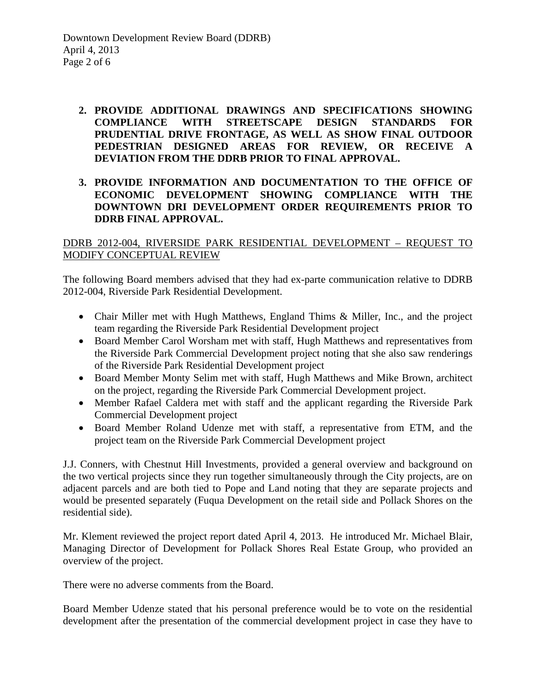## **2. PROVIDE ADDITIONAL DRAWINGS AND SPECIFICATIONS SHOWING COMPLIANCE WITH STREETSCAPE DESIGN STANDARDS FOR PRUDENTIAL DRIVE FRONTAGE, AS WELL AS SHOW FINAL OUTDOOR PEDESTRIAN DESIGNED AREAS FOR REVIEW, OR RECEIVE A DEVIATION FROM THE DDRB PRIOR TO FINAL APPROVAL.**

## **3. PROVIDE INFORMATION AND DOCUMENTATION TO THE OFFICE OF ECONOMIC DEVELOPMENT SHOWING COMPLIANCE WITH THE DOWNTOWN DRI DEVELOPMENT ORDER REQUIREMENTS PRIOR TO DDRB FINAL APPROVAL.**

## DDRB 2012-004, RIVERSIDE PARK RESIDENTIAL DEVELOPMENT – REQUEST TO MODIFY CONCEPTUAL REVIEW

The following Board members advised that they had ex-parte communication relative to DDRB 2012-004, Riverside Park Residential Development.

- Chair Miller met with Hugh Matthews, England Thims & Miller, Inc., and the project team regarding the Riverside Park Residential Development project
- Board Member Carol Worsham met with staff, Hugh Matthews and representatives from the Riverside Park Commercial Development project noting that she also saw renderings of the Riverside Park Residential Development project
- Board Member Monty Selim met with staff, Hugh Matthews and Mike Brown, architect on the project, regarding the Riverside Park Commercial Development project.
- Member Rafael Caldera met with staff and the applicant regarding the Riverside Park Commercial Development project
- Board Member Roland Udenze met with staff, a representative from ETM, and the project team on the Riverside Park Commercial Development project

J.J. Conners, with Chestnut Hill Investments, provided a general overview and background on the two vertical projects since they run together simultaneously through the City projects, are on adjacent parcels and are both tied to Pope and Land noting that they are separate projects and would be presented separately (Fuqua Development on the retail side and Pollack Shores on the residential side).

Mr. Klement reviewed the project report dated April 4, 2013. He introduced Mr. Michael Blair, Managing Director of Development for Pollack Shores Real Estate Group, who provided an overview of the project.

There were no adverse comments from the Board.

Board Member Udenze stated that his personal preference would be to vote on the residential development after the presentation of the commercial development project in case they have to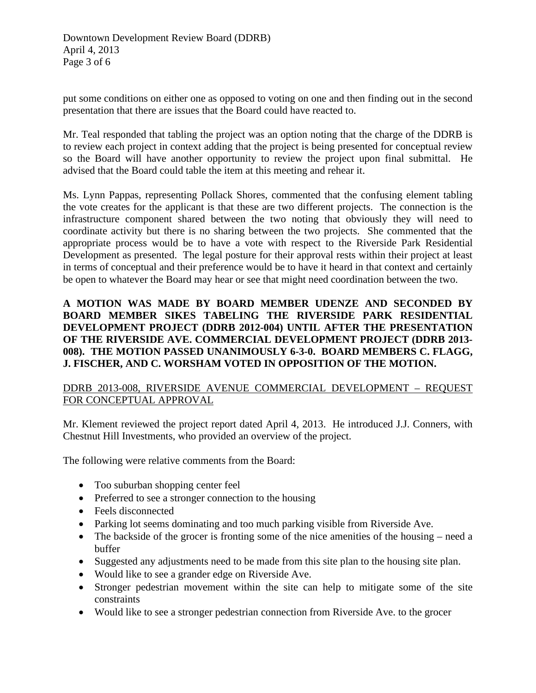put some conditions on either one as opposed to voting on one and then finding out in the second presentation that there are issues that the Board could have reacted to.

Mr. Teal responded that tabling the project was an option noting that the charge of the DDRB is to review each project in context adding that the project is being presented for conceptual review so the Board will have another opportunity to review the project upon final submittal. He advised that the Board could table the item at this meeting and rehear it.

Ms. Lynn Pappas, representing Pollack Shores, commented that the confusing element tabling the vote creates for the applicant is that these are two different projects. The connection is the infrastructure component shared between the two noting that obviously they will need to coordinate activity but there is no sharing between the two projects. She commented that the appropriate process would be to have a vote with respect to the Riverside Park Residential Development as presented. The legal posture for their approval rests within their project at least in terms of conceptual and their preference would be to have it heard in that context and certainly be open to whatever the Board may hear or see that might need coordination between the two.

**A MOTION WAS MADE BY BOARD MEMBER UDENZE AND SECONDED BY BOARD MEMBER SIKES TABELING THE RIVERSIDE PARK RESIDENTIAL DEVELOPMENT PROJECT (DDRB 2012-004) UNTIL AFTER THE PRESENTATION OF THE RIVERSIDE AVE. COMMERCIAL DEVELOPMENT PROJECT (DDRB 2013- 008). THE MOTION PASSED UNANIMOUSLY 6-3-0. BOARD MEMBERS C. FLAGG, J. FISCHER, AND C. WORSHAM VOTED IN OPPOSITION OF THE MOTION.**

# DDRB 2013-008, RIVERSIDE AVENUE COMMERCIAL DEVELOPMENT – REQUEST FOR CONCEPTUAL APPROVAL

Mr. Klement reviewed the project report dated April 4, 2013. He introduced J.J. Conners, with Chestnut Hill Investments, who provided an overview of the project.

The following were relative comments from the Board:

- Too suburban shopping center feel
- Preferred to see a stronger connection to the housing
- Feels disconnected
- Parking lot seems dominating and too much parking visible from Riverside Ave.
- The backside of the grocer is fronting some of the nice amenities of the housing need a buffer
- Suggested any adjustments need to be made from this site plan to the housing site plan.
- Would like to see a grander edge on Riverside Ave.
- Stronger pedestrian movement within the site can help to mitigate some of the site constraints
- Would like to see a stronger pedestrian connection from Riverside Ave. to the grocer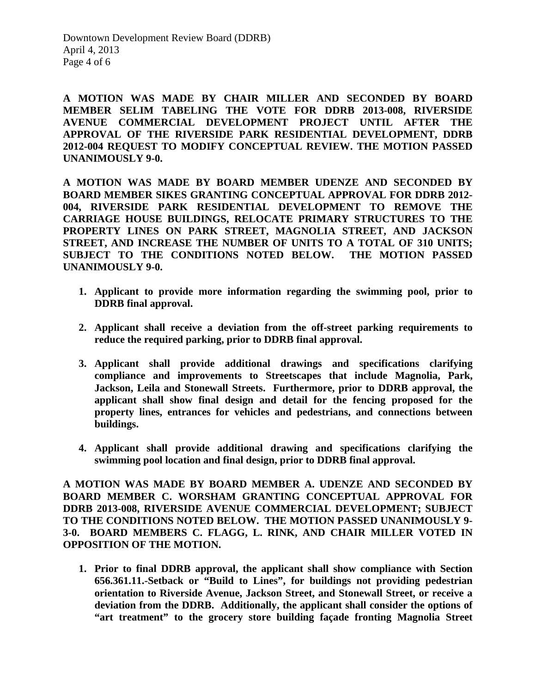Downtown Development Review Board (DDRB) April 4, 2013 Page 4 of 6

**A MOTION WAS MADE BY CHAIR MILLER AND SECONDED BY BOARD MEMBER SELIM TABELING THE VOTE FOR DDRB 2013-008, RIVERSIDE AVENUE COMMERCIAL DEVELOPMENT PROJECT UNTIL AFTER THE APPROVAL OF THE RIVERSIDE PARK RESIDENTIAL DEVELOPMENT, DDRB 2012-004 REQUEST TO MODIFY CONCEPTUAL REVIEW. THE MOTION PASSED UNANIMOUSLY 9-0.** 

**A MOTION WAS MADE BY BOARD MEMBER UDENZE AND SECONDED BY BOARD MEMBER SIKES GRANTING CONCEPTUAL APPROVAL FOR DDRB 2012- 004, RIVERSIDE PARK RESIDENTIAL DEVELOPMENT TO REMOVE THE CARRIAGE HOUSE BUILDINGS, RELOCATE PRIMARY STRUCTURES TO THE PROPERTY LINES ON PARK STREET, MAGNOLIA STREET, AND JACKSON STREET, AND INCREASE THE NUMBER OF UNITS TO A TOTAL OF 310 UNITS; SUBJECT TO THE CONDITIONS NOTED BELOW. THE MOTION PASSED UNANIMOUSLY 9-0.**

- **1. Applicant to provide more information regarding the swimming pool, prior to DDRB final approval.**
- **2. Applicant shall receive a deviation from the off-street parking requirements to reduce the required parking, prior to DDRB final approval.**
- **3. Applicant shall provide additional drawings and specifications clarifying compliance and improvements to Streetscapes that include Magnolia, Park, Jackson, Leila and Stonewall Streets. Furthermore, prior to DDRB approval, the applicant shall show final design and detail for the fencing proposed for the property lines, entrances for vehicles and pedestrians, and connections between buildings.**
- **4. Applicant shall provide additional drawing and specifications clarifying the swimming pool location and final design, prior to DDRB final approval.**

**A MOTION WAS MADE BY BOARD MEMBER A. UDENZE AND SECONDED BY BOARD MEMBER C. WORSHAM GRANTING CONCEPTUAL APPROVAL FOR DDRB 2013-008, RIVERSIDE AVENUE COMMERCIAL DEVELOPMENT; SUBJECT TO THE CONDITIONS NOTED BELOW. THE MOTION PASSED UNANIMOUSLY 9- 3-0. BOARD MEMBERS C. FLAGG, L. RINK, AND CHAIR MILLER VOTED IN OPPOSITION OF THE MOTION.**

**1. Prior to final DDRB approval, the applicant shall show compliance with Section 656.361.11.-Setback or "Build to Lines", for buildings not providing pedestrian orientation to Riverside Avenue, Jackson Street, and Stonewall Street, or receive a deviation from the DDRB. Additionally, the applicant shall consider the options of "art treatment" to the grocery store building façade fronting Magnolia Street**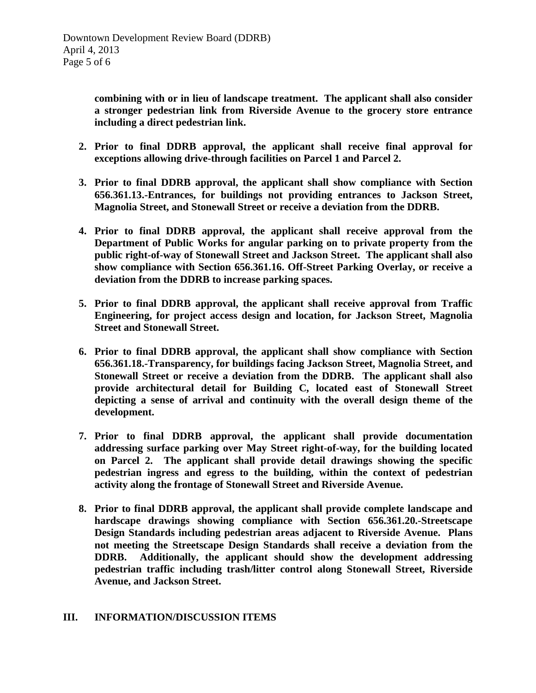**combining with or in lieu of landscape treatment. The applicant shall also consider a stronger pedestrian link from Riverside Avenue to the grocery store entrance including a direct pedestrian link.**

- **2. Prior to final DDRB approval, the applicant shall receive final approval for exceptions allowing drive-through facilities on Parcel 1 and Parcel 2.**
- **3. Prior to final DDRB approval, the applicant shall show compliance with Section 656.361.13.-Entrances, for buildings not providing entrances to Jackson Street, Magnolia Street, and Stonewall Street or receive a deviation from the DDRB.**
- **4. Prior to final DDRB approval, the applicant shall receive approval from the Department of Public Works for angular parking on to private property from the public right-of-way of Stonewall Street and Jackson Street. The applicant shall also show compliance with Section 656.361.16. Off-Street Parking Overlay, or receive a deviation from the DDRB to increase parking spaces.**
- **5. Prior to final DDRB approval, the applicant shall receive approval from Traffic Engineering, for project access design and location, for Jackson Street, Magnolia Street and Stonewall Street.**
- **6. Prior to final DDRB approval, the applicant shall show compliance with Section 656.361.18.-Transparency, for buildings facing Jackson Street, Magnolia Street, and Stonewall Street or receive a deviation from the DDRB. The applicant shall also provide architectural detail for Building C, located east of Stonewall Street depicting a sense of arrival and continuity with the overall design theme of the development.**
- **7. Prior to final DDRB approval, the applicant shall provide documentation addressing surface parking over May Street right-of-way, for the building located on Parcel 2. The applicant shall provide detail drawings showing the specific pedestrian ingress and egress to the building, within the context of pedestrian activity along the frontage of Stonewall Street and Riverside Avenue.**
- **8. Prior to final DDRB approval, the applicant shall provide complete landscape and hardscape drawings showing compliance with Section 656.361.20.-Streetscape Design Standards including pedestrian areas adjacent to Riverside Avenue. Plans not meeting the Streetscape Design Standards shall receive a deviation from the DDRB. Additionally, the applicant should show the development addressing pedestrian traffic including trash/litter control along Stonewall Street, Riverside Avenue, and Jackson Street.**

#### **III. INFORMATION/DISCUSSION ITEMS**